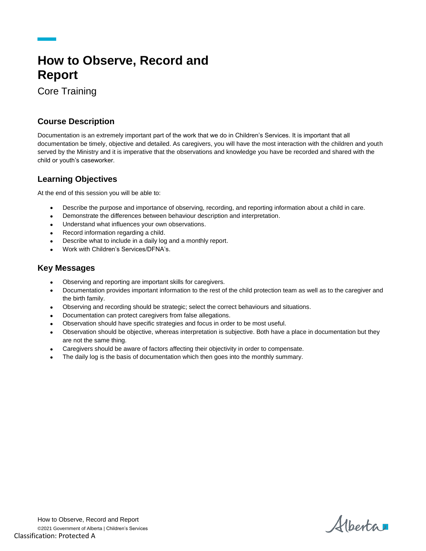# **How to Observe, Record and Report**

Core Training

## **Course Description**

Documentation is an extremely important part of the work that we do in Children's Services. It is important that all documentation be timely, objective and detailed. As caregivers, you will have the most interaction with the children and youth served by the Ministry and it is imperative that the observations and knowledge you have be recorded and shared with the child or youth's caseworker.

# **Learning Objectives**

At the end of this session you will be able to:

- Describe the purpose and importance of observing, recording, and reporting information about a child in care.
- Demonstrate the differences between behaviour description and interpretation.
- Understand what influences your own observations.
- Record information regarding a child.
- Describe what to include in a daily log and a monthly report.
- Work with Children's Services/DFNA's.

#### **Key Messages**

- Observing and reporting are important skills for caregivers.
- Documentation provides important information to the rest of the child protection team as well as to the caregiver and the birth family.
- Observing and recording should be strategic; select the correct behaviours and situations.
- Documentation can protect caregivers from false allegations.
- Observation should have specific strategies and focus in order to be most useful.
- Observation should be objective, whereas interpretation is subjective. Both have a place in documentation but they are not the same thing.
- Caregivers should be aware of factors affecting their objectivity in order to compensate.
- The daily log is the basis of documentation which then goes into the monthly summary.

Alberta